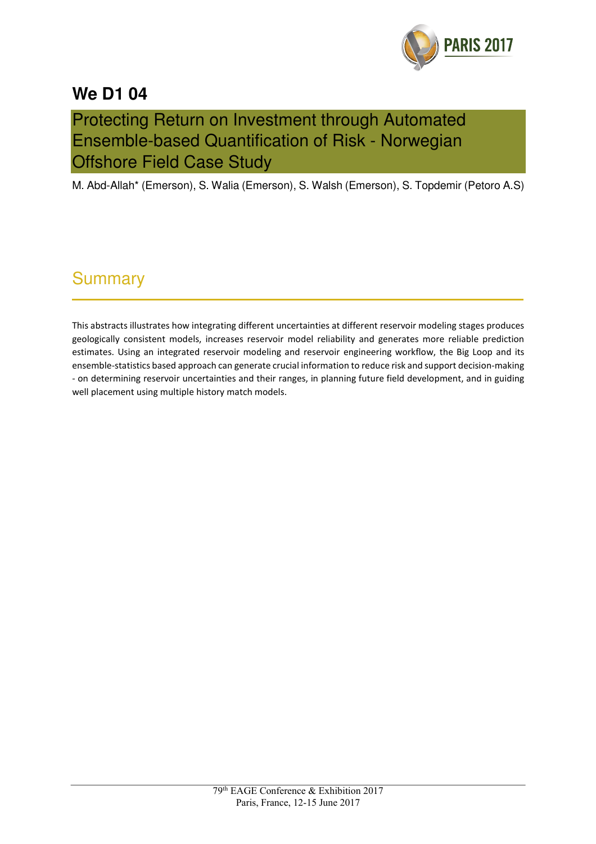

# **We D1 04**

## Protecting Return on Investment through Automated Ensemble-based Quantification of Risk - Norwegian Offshore Field Case Study

M. Abd-Allah\* (Emerson), S. Walia (Emerson), S. Walsh (Emerson), S. Topdemir (Petoro A.S)

## **Summary**

This abstracts illustrates how integrating different uncertainties at different reservoir modeling stages produces geologically consistent models, increases reservoir model reliability and generates more reliable prediction estimates. Using an integrated reservoir modeling and reservoir engineering workflow, the Big Loop and its ensemble-statistics based approach can generate crucial information to reduce risk and support decision-making - on determining reservoir uncertainties and their ranges, in planning future field development, and in guiding well placement using multiple history match models.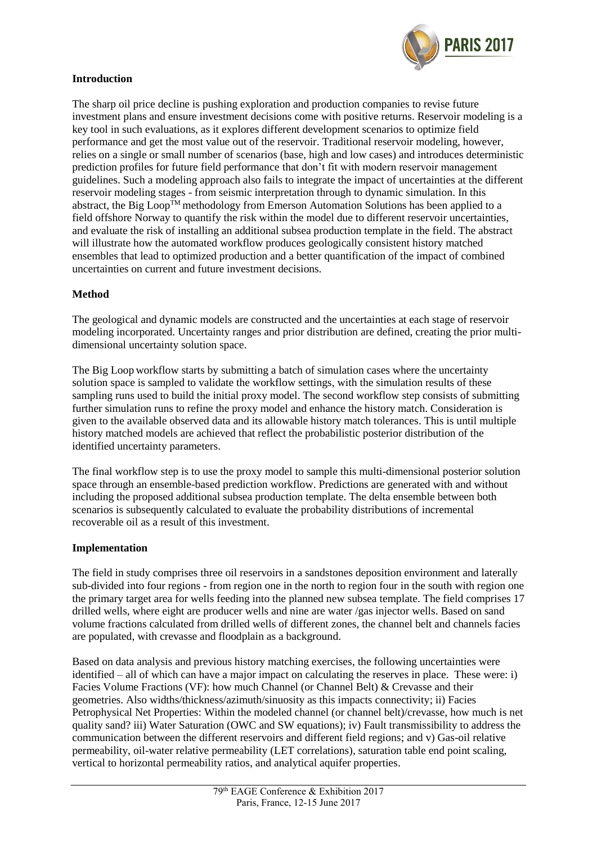

#### **Introduction**

The sharp oil price decline is pushing exploration and production companies to revise future investment plans and ensure investment decisions come with positive returns. Reservoir modeling is a key tool in such evaluations, as it explores different development scenarios to optimize field performance and get the most value out of the reservoir. Traditional reservoir modeling, however, relies on a single or small number of scenarios (base, high and low cases) and introduces deterministic prediction profiles for future field performance that don't fit with modern reservoir management guidelines. Such a modeling approach also fails to integrate the impact of uncertainties at the different reservoir modeling stages - from seismic interpretation through to dynamic simulation. In this abstract, the Big Loop<sup>TM</sup> methodology from Emerson Automation Solutions has been applied to a field offshore Norway to quantify the risk within the model due to different reservoir uncertainties, and evaluate the risk of installing an additional subsea production template in the field. The abstract will illustrate how the automated workflow produces geologically consistent history matched ensembles that lead to optimized production and a better quantification of the impact of combined uncertainties on current and future investment decisions.

#### **Method**

The geological and dynamic models are constructed and the uncertainties at each stage of reservoir modeling incorporated. Uncertainty ranges and prior distribution are defined, creating the prior multidimensional uncertainty solution space.

The Big Loop workflow starts by submitting a batch of simulation cases where the uncertainty solution space is sampled to validate the workflow settings, with the simulation results of these sampling runs used to build the initial proxy model. The second workflow step consists of submitting further simulation runs to refine the proxy model and enhance the history match. Consideration is given to the available observed data and its allowable history match tolerances. This is until multiple history matched models are achieved that reflect the probabilistic posterior distribution of the identified uncertainty parameters.

The final workflow step is to use the proxy model to sample this multi-dimensional posterior solution space through an ensemble-based prediction workflow. Predictions are generated with and without including the proposed additional subsea production template. The delta ensemble between both scenarios is subsequently calculated to evaluate the probability distributions of incremental recoverable oil as a result of this investment.

#### **Implementation**

The field in study comprises three oil reservoirs in a sandstones deposition environment and laterally sub-divided into four regions - from region one in the north to region four in the south with region one the primary target area for wells feeding into the planned new subsea template. The field comprises 17 drilled wells, where eight are producer wells and nine are water /gas injector wells. Based on sand volume fractions calculated from drilled wells of different zones, the channel belt and channels facies are populated, with crevasse and floodplain as a background.

Based on data analysis and previous history matching exercises, the following uncertainties were identified – all of which can have a major impact on calculating the reserves in place. These were: i) Facies Volume Fractions (VF): how much Channel (or Channel Belt) & Crevasse and their geometries. Also widths/thickness/azimuth/sinuosity as this impacts connectivity; ii) Facies Petrophysical Net Properties: Within the modeled channel (or channel belt)/crevasse, how much is net quality sand? iii) Water Saturation (OWC and SW equations); iv) Fault transmissibility to address the communication between the different reservoirs and different field regions; and v) Gas-oil relative permeability, oil-water relative permeability (LET correlations), saturation table end point scaling, vertical to horizontal permeability ratios, and analytical aquifer properties.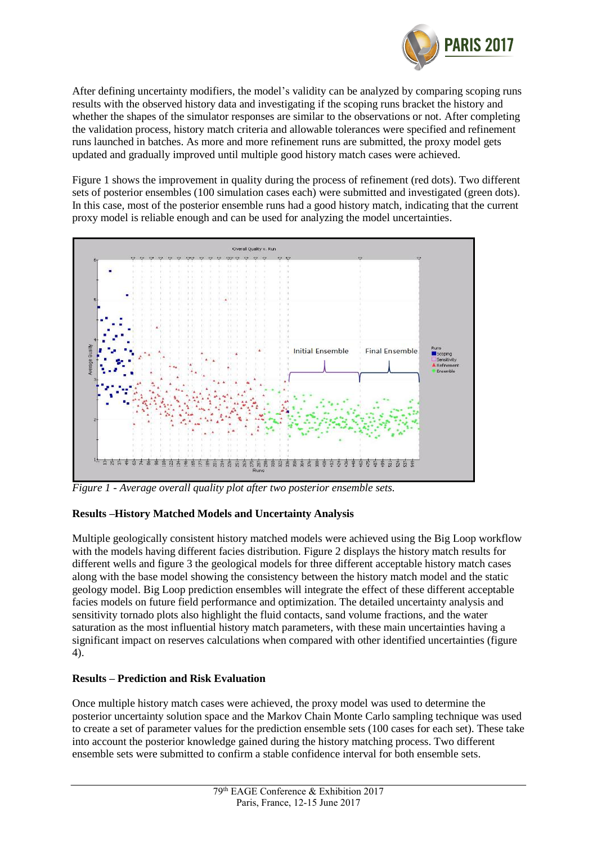

After defining uncertainty modifiers, the model's validity can be analyzed by comparing scoping runs results with the observed history data and investigating if the scoping runs bracket the history and whether the shapes of the simulator responses are similar to the observations or not. After completing the validation process, history match criteria and allowable tolerances were specified and refinement runs launched in batches. As more and more refinement runs are submitted, the proxy model gets updated and gradually improved until multiple good history match cases were achieved.

Figure 1 shows the improvement in quality during the process of refinement (red dots). Two different sets of posterior ensembles (100 simulation cases each) were submitted and investigated (green dots). In this case, most of the posterior ensemble runs had a good history match, indicating that the current proxy model is reliable enough and can be used for analyzing the model uncertainties.



*Figure 1 - Average overall quality plot after two posterior ensemble sets.*

## **Results –History Matched Models and Uncertainty Analysis**

Multiple geologically consistent history matched models were achieved using the Big Loop workflow with the models having different facies distribution. Figure 2 displays the history match results for different wells and figure 3 the geological models for three different acceptable history match cases along with the base model showing the consistency between the history match model and the static geology model. Big Loop prediction ensembles will integrate the effect of these different acceptable facies models on future field performance and optimization. The detailed uncertainty analysis and sensitivity tornado plots also highlight the fluid contacts, sand volume fractions, and the water saturation as the most influential history match parameters, with these main uncertainties having a significant impact on reserves calculations when compared with other identified uncertainties (figure 4).

## **Results – Prediction and Risk Evaluation**

Once multiple history match cases were achieved, the proxy model was used to determine the posterior uncertainty solution space and the Markov Chain Monte Carlo sampling technique was used to create a set of parameter values for the prediction ensemble sets (100 cases for each set). These take into account the posterior knowledge gained during the history matching process. Two different ensemble sets were submitted to confirm a stable confidence interval for both ensemble sets.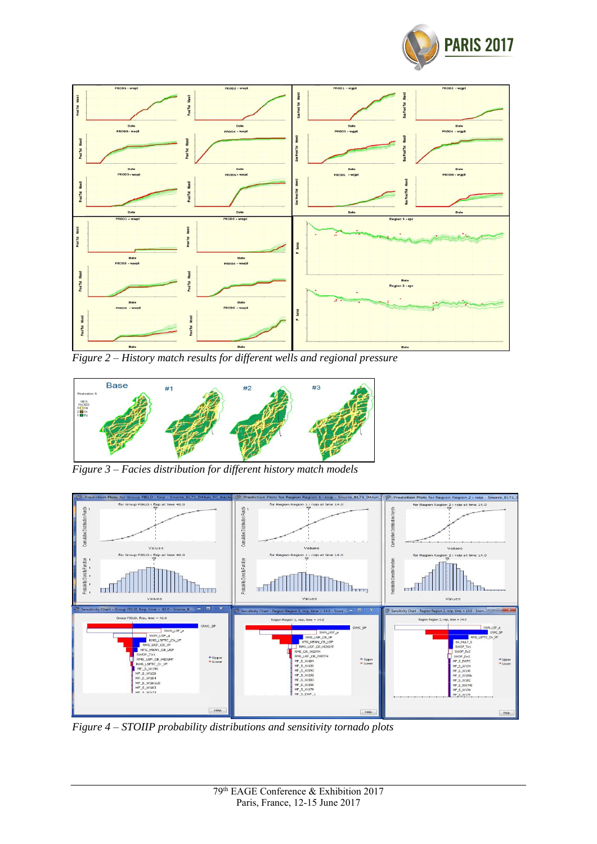



*Figure 2 – History match results for different wells and regional pressure*



*Figure 3 – Facies distribution for different history match models*



*Figure 4 – STOIIP probability distributions and sensitivity tornado plots*